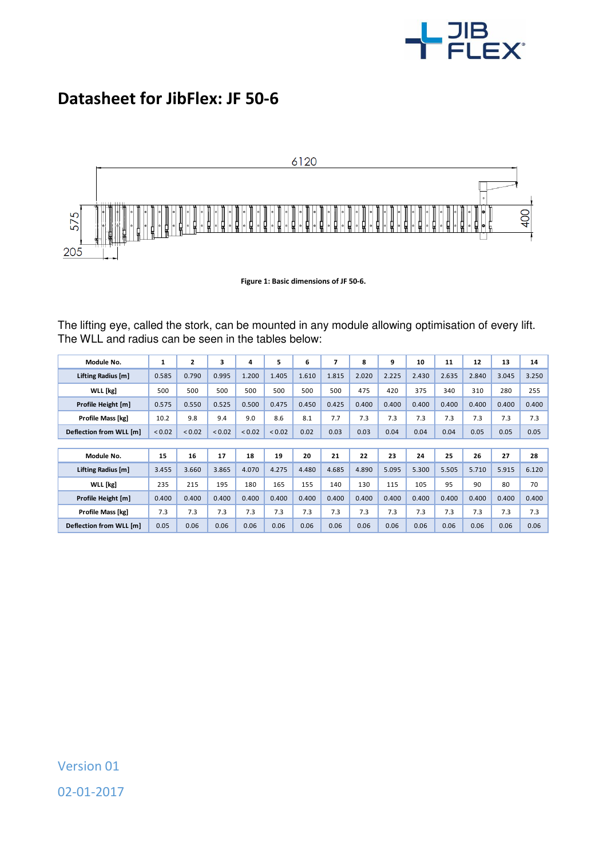

## **Datasheet for JibFlex: JF 50-6**



**Figure 1: Basic dimensions of JF 50-6.** 

The lifting eye, called the stork, can be mounted in any module allowing optimisation of every lift. The WLL and radius can be seen in the tables below:

| Module No.              | 1      | $\mathbf{z}$ | 3           | 4      | 5      | 6     | 7     | 8     | 9     | 10    | 11    | 12    | 13    | 14    |
|-------------------------|--------|--------------|-------------|--------|--------|-------|-------|-------|-------|-------|-------|-------|-------|-------|
| Lifting Radius [m]      | 0.585  | 0.790        | 0.995       | 1.200  | 1.405  | 1.610 | 1.815 | 2.020 | 2.225 | 2.430 | 2.635 | 2.840 | 3.045 | 3.250 |
| WLL [kg]                | 500    | 500          | 500         | 500    | 500    | 500   | 500   | 475   | 420   | 375   | 340   | 310   | 280   | 255   |
| Profile Height [m]      | 0.575  | 0.550        | 0.525       | 0.500  | 0.475  | 0.450 | 0.425 | 0.400 | 0.400 | 0.400 | 0.400 | 0.400 | 0.400 | 0.400 |
| Profile Mass [kg]       | 10.2   | 9.8          | 9.4         | 9.0    | 8.6    | 8.1   | 7.7   | 7.3   | 7.3   | 7.3   | 7.3   | 7.3   | 7.3   | 7.3   |
| Deflection from WLL [m] | < 0.02 | < 0.02       | ${}_{0.02}$ | < 0.02 | < 0.02 | 0.02  | 0.03  | 0.03  | 0.04  | 0.04  | 0.04  | 0.05  | 0.05  | 0.05  |
|                         |        |              |             |        |        |       |       |       |       |       |       |       |       |       |
| Module No.              | 15     | 16           | 17          | 18     | 19     | 20    | 21    | 22    | 23    | 24    | 25    | 26    | 27    | 28    |
| Lifting Radius [m]      | 3.455  | 3.660        | 3.865       | 4.070  | 4.275  | 4.480 | 4.685 | 4.890 | 5.095 | 5.300 | 5.505 | 5.710 | 5.915 | 6.120 |
| WLL [kg]                | 235    | 215          | 195         | 180    | 165    | 155   | 140   | 130   | 115   | 105   | 95    | 90    | 80    | 70    |
| Profile Height [m]      | 0.400  | 0.400        | 0.400       | 0.400  | 0.400  | 0.400 | 0.400 | 0.400 | 0.400 | 0.400 | 0.400 | 0.400 | 0.400 | 0.400 |
| Profile Mass [kg]       | 7.3    | 7.3          | 7.3         | 7.3    | 7.3    | 7.3   | 7.3   | 7.3   | 7.3   | 7.3   | 7.3   | 7.3   | 7.3   | 7.3   |
| Deflection from WLL [m] | 0.05   | 0.06         | 0.06        | 0.06   | 0.06   | 0.06  | 0.06  | 0.06  | 0.06  | 0.06  | 0.06  | 0.06  | 0.06  | 0.06  |